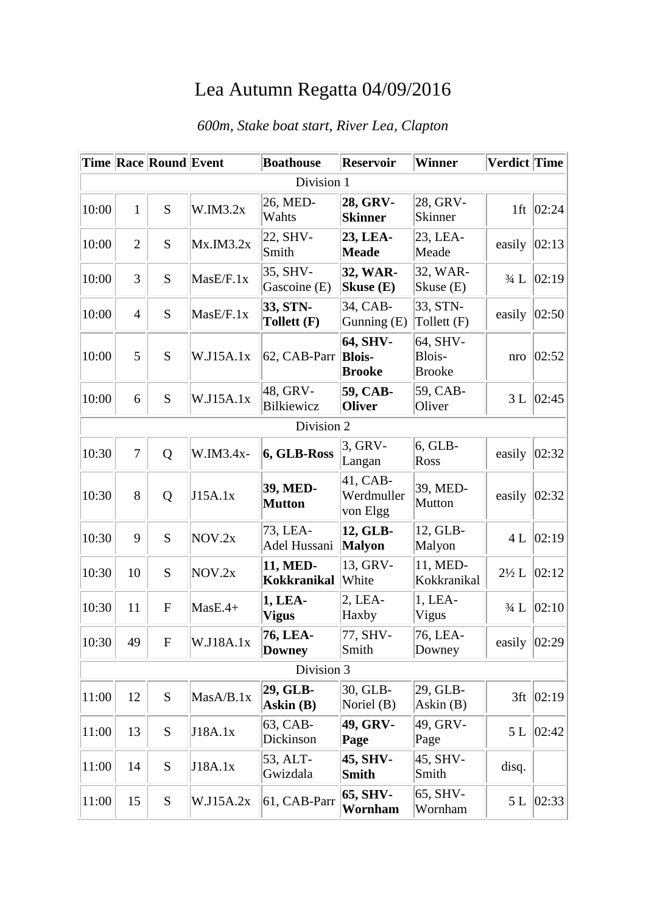## Lea Autumn Regatta 04/09/2016

|            |                | Time Race Round Event |           | <b>Boathouse</b>               | <b>Reservoir</b>                           | Winner                              | Verdict Time     |               |  |
|------------|----------------|-----------------------|-----------|--------------------------------|--------------------------------------------|-------------------------------------|------------------|---------------|--|
| Division 1 |                |                       |           |                                |                                            |                                     |                  |               |  |
| 10:00      | 1              | S                     | W.IM3.2x  | 26, MED-<br>Wahts              | 28, GRV-<br><b>Skinner</b>                 | 28, GRV-<br>Skinner                 | $1$ ft           | 02:24         |  |
| 10:00      | $\overline{2}$ | S                     | Mx.M3.2x  | 22, SHV-<br>Smith              | 23, LEA-<br><b>Meade</b>                   | 23, LEA-<br>Meade                   | easily           | 02:13         |  |
| 10:00      | 3              | S                     | MasE/F.1x | 35, SHV-<br>Gascoine (E)       | 32, WAR-<br>Skuse (E)                      | 32, WAR-<br>Skuse(E)                | $\frac{3}{4}$ L  | 02:19         |  |
| 10:00      | $\overline{4}$ | S                     | MasE/F.1x | 33, STN-<br>Tollett (F)        | 34, CAB-<br>Gunning $(E)$                  | 33, STN-<br>Tollett (F)             | easily           | 02:50         |  |
| 10:00      | 5              | S                     | W.J15A.1x | 62, CAB-Parr                   | 64, SHV-<br><b>Blois-</b><br><b>Brooke</b> | 64, SHV-<br>Blois-<br><b>Brooke</b> | nro              | 02:52         |  |
| 10:00      | 6              | S                     | W.J15A.1x | 48, GRV-<br>Bilkiewicz         | 59, CAB-<br><b>Oliver</b>                  | 59, CAB-<br>Oliver                  | 3L               | 02:45         |  |
| Division 2 |                |                       |           |                                |                                            |                                     |                  |               |  |
| 10:30      | $\overline{7}$ | $\overline{Q}$        | W.IM3.4x- | 6, GLB-Ross                    | 3, GRV-<br>Langan                          | $6$ , GLB-<br>Ross                  | easily $ 02:32 $ |               |  |
| 10:30      | 8              | Q                     | J15A.1x   | 39, MED-<br><b>Mutton</b>      | 41, CAB-<br>Werdmuller<br>von Elgg         | 39, MED-<br>Mutton                  | easily           | 02:32         |  |
| 10:30      | 9              | S                     | NOV.2x    | 73, LEA-<br>Adel Hussani       | 12, GLB-<br>Malyon                         | 12, GLB-<br>Malyon                  | 4L               | 02:19         |  |
| 10:30      | 10             | S                     | NOV.2x    | 11, MED-<br><b>Kokkranikal</b> | 13, GRV-<br>White                          | 11, MED-<br>Kokkranikal             | $2\frac{1}{2}$ L | 02:12         |  |
| 10:30      | 11             | ${\bf F}$             | $Mask.4+$ | 1, LEA-<br><b>Vigus</b>        | 2, LEA-<br>Haxby                           | 1, LEA-<br>Vigus                    | $\frac{3}{4}$ L  | 02:10         |  |
| 10:30      | 49             | ${\bf F}$             | W.J18A.1x | 76, LEA-<br><b>Downey</b>      | 77, SHV-<br>Smith                          | 76, LEA-<br>Downey                  | easily           | 02:29         |  |
| Division 3 |                |                       |           |                                |                                            |                                     |                  |               |  |
| 11:00      | 12             | S                     | MasA/B.1x | 29, GLB-<br>Askin (B)          | 30, GLB-<br>Noriel (B)                     | 29, GLB-<br>Askin(B)                |                  | 3ft $ 02:19 $ |  |
| 11:00      | 13             | S                     | J18A.1x   | 63, CAB-<br>Dickinson          | 49, GRV-<br>Page                           | 49, GRV-<br>Page                    |                  | 5 L 02:42     |  |
| 11:00      | 14             | S                     | J18A.1x   | 53, ALT-<br>Gwizdala           | 45, SHV-<br><b>Smith</b>                   | 45, SHV-<br>Smith                   | disq.            |               |  |
| 11:00      | 15             | S                     | W.J15A.2x | 61, CAB-Parr                   | 65, SHV-<br>Wornham                        | 65, SHV-<br>Wornham                 | 5L               | 02:33         |  |

## *600m, Stake boat start, River Lea, Clapton*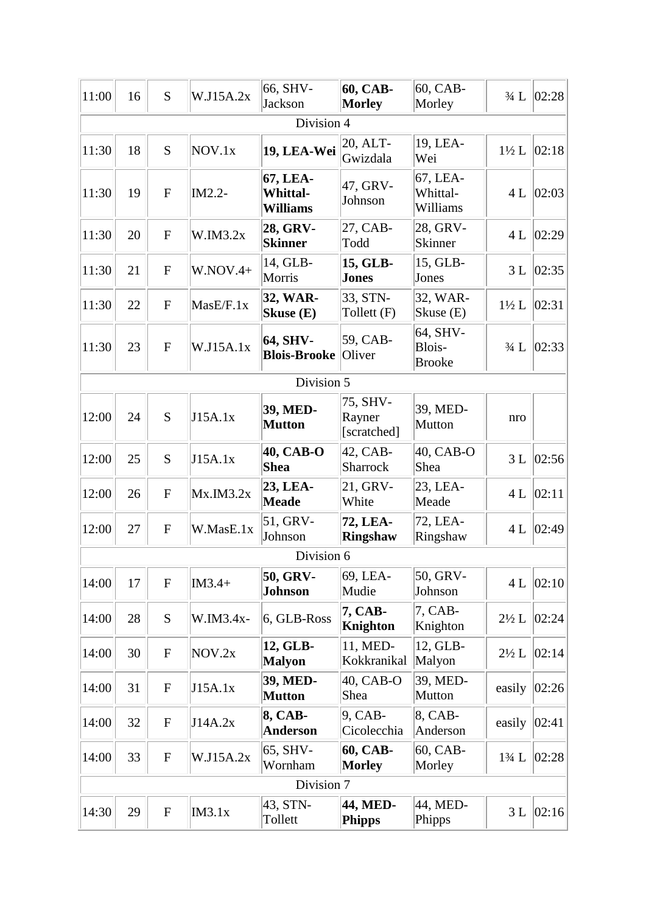| 11:00      | 16 | S                         | W.J15A.2x  | 66, SHV-<br><b>Jackson</b>                     | 60, CAB-<br><b>Morley</b>         | 60, CAB-<br>Morley                  | $\frac{3}{4}$ L  | 02:28 |
|------------|----|---------------------------|------------|------------------------------------------------|-----------------------------------|-------------------------------------|------------------|-------|
| Division 4 |    |                           |            |                                                |                                   |                                     |                  |       |
| 11:30      | 18 | S                         | NOV.1x     | 19, LEA-Wei                                    | 20, ALT-<br>Gwizdala              | 19, LEA-<br>Wei                     | $1\frac{1}{2}$ L | 02:18 |
| 11:30      | 19 | $\mathbf F$               | IM2.2-     | 67, LEA-<br><b>Whittal-</b><br><b>Williams</b> | 47, GRV-<br>Johnson               | 67, LEA-<br>Whittal-<br>Williams    | 4 L              | 02:03 |
| 11:30      | 20 | ${\bf F}$                 | W.IM3.2x   | 28, GRV-<br><b>Skinner</b>                     | 27, CAB-<br>Todd                  | 28, GRV-<br><b>Skinner</b>          | 4L               | 02:29 |
| 11:30      | 21 | $\mathbf F$               | $W.NOV.4+$ | 14, GLB-<br>Morris                             | 15, GLB-<br>Jones                 | 15, GLB-<br>Jones                   | 3L               | 02:35 |
| 11:30      | 22 | $\mathbf F$               | Mase/F.1x  | 32, WAR-<br>Skuse (E)                          | 33, STN-<br>Tollett (F)           | 32, WAR-<br>Skuse (E)               | $1\frac{1}{2}$ L | 02:31 |
| 11:30      | 23 | $\mathbf F$               | W.J15A.1x  | 64, SHV-<br><b>Blois-Brooke</b>                | 59, CAB-<br>Oliver                | 64, SHV-<br>Blois-<br><b>Brooke</b> | $\frac{3}{4}$ L  | 02:33 |
|            |    |                           |            | Division 5                                     |                                   |                                     |                  |       |
| 12:00      | 24 | S                         | J15A.1x    | 39, MED-<br><b>Mutton</b>                      | 75, SHV-<br>Rayner<br>[scratched] | 39, MED-<br>Mutton                  | nro              |       |
| 12:00      | 25 | S                         | J15A.1x    | 40, CAB-O<br><b>Shea</b>                       | 42, CAB-<br><b>Sharrock</b>       | 40, CAB-O<br>Shea                   | 3L               | 02:56 |
| 12:00      | 26 | ${\bf F}$                 | Mx.M3.2x   | 23, LEA-<br><b>Meade</b>                       | 21, GRV-<br>White                 | 23, LEA-<br>Meade                   | 4L               | 02:11 |
| 12:00      | 27 | ${\bf F}$                 | W.MasE.1x  | 51, GRV-<br>Johnson                            | 72, LEA-<br>Ringshaw              | 72, LEA-<br>Ringshaw                | 4 L              | 02:49 |
|            |    |                           |            | Division 6                                     |                                   |                                     |                  |       |
| 14:00      | 17 | $\mathbf F$               | $IM3.4+$   | 50, GRV-<br>Johnson                            | 69, LEA-<br>Mudie                 | 50, GRV-<br>Johnson                 | 4L               | 02:10 |
| 14:00      | 28 | S                         | W.IM3.4x-  | 6, GLB-Ross                                    | 7, CAB-<br>Knighton               | $7, CAB-$<br>Knighton               | $2\frac{1}{2}$ L | 02:24 |
| 14:00      | 30 | $\boldsymbol{\mathrm{F}}$ | NOV.2x     | 12, GLB-<br><b>Malyon</b>                      | 11, MED-<br>Kokkranikal           | 12, GLB-<br>Malyon                  | $2\frac{1}{2} L$ | 02:14 |
| 14:00      | 31 | ${\bf F}$                 | J15A.1x    | 39, MED-<br><b>Mutton</b>                      | 40, CAB-O<br>Shea                 | 39, MED-<br>Mutton                  | easily           | 02:26 |
| 14:00      | 32 | ${\bf F}$                 | J14A.2x    | 8, CAB-<br><b>Anderson</b>                     | 9, CAB-<br>Cicolecchia            | 8, CAB-<br>Anderson                 | easily           | 02:41 |
| 14:00      | 33 | $\boldsymbol{\mathrm{F}}$ | W.J15A.2x  | 65, SHV-<br>Wornham                            | 60, CAB-<br><b>Morley</b>         | 60, CAB-<br>Morley                  | $1\frac{3}{4}$ L | 02:28 |
| Division 7 |    |                           |            |                                                |                                   |                                     |                  |       |
| 14:30      | 29 | ${\bf F}$                 | IM3.1x     | 43, STN-<br>Tollett                            | 44, MED-<br><b>Phipps</b>         | 44, MED-<br>Phipps                  | 3L               | 02:16 |